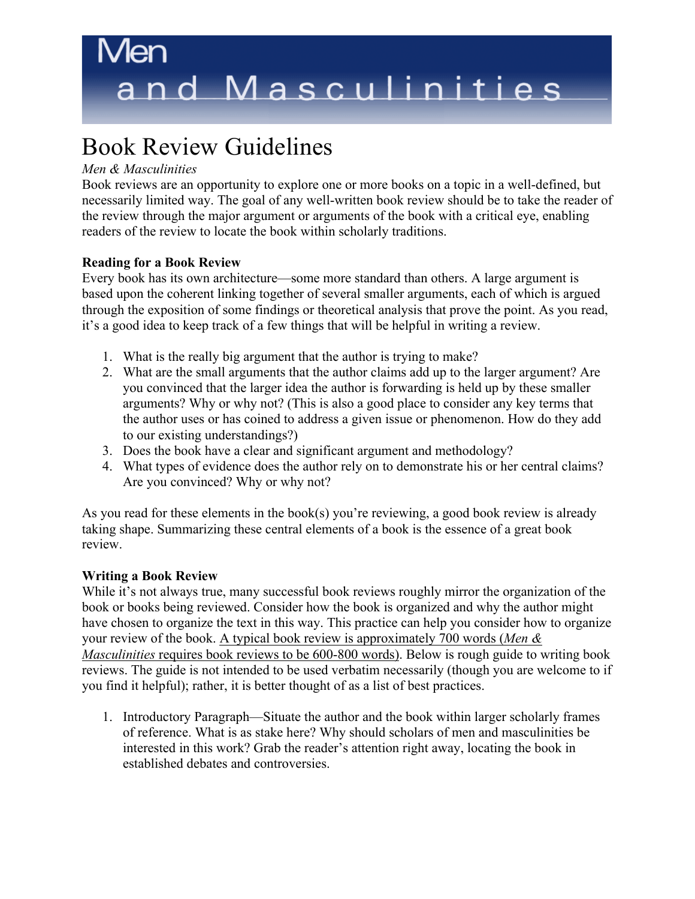# Book Review Guidelines

## *Men & Masculinities*

Book reviews are an opportunity to explore one or more books on a topic in a well-defined, but necessarily limited way. The goal of any well-written book review should be to take the reader of the review through the major argument or arguments of the book with a critical eye, enabling readers of the review to locate the book within scholarly traditions.

# **Reading for a Book Review**

Every book has its own architecture—some more standard than others. A large argument is based upon the coherent linking together of several smaller arguments, each of which is argued through the exposition of some findings or theoretical analysis that prove the point. As you read, it's a good idea to keep track of a few things that will be helpful in writing a review.

- 1. What is the really big argument that the author is trying to make?
- 2. What are the small arguments that the author claims add up to the larger argument? Are you convinced that the larger idea the author is forwarding is held up by these smaller arguments? Why or why not? (This is also a good place to consider any key terms that the author uses or has coined to address a given issue or phenomenon. How do they add to our existing understandings?)
- 3. Does the book have a clear and significant argument and methodology?
- 4. What types of evidence does the author rely on to demonstrate his or her central claims? Are you convinced? Why or why not?

As you read for these elements in the book(s) you're reviewing, a good book review is already taking shape. Summarizing these central elements of a book is the essence of a great book review.

# **Writing a Book Review**

While it's not always true, many successful book reviews roughly mirror the organization of the book or books being reviewed. Consider how the book is organized and why the author might have chosen to organize the text in this way. This practice can help you consider how to organize your review of the book. A typical book review is approximately 700 words (*Men & Masculinities* requires book reviews to be 600-800 words). Below is rough guide to writing book reviews. The guide is not intended to be used verbatim necessarily (though you are welcome to if you find it helpful); rather, it is better thought of as a list of best practices.

1. Introductory Paragraph—Situate the author and the book within larger scholarly frames of reference. What is as stake here? Why should scholars of men and masculinities be interested in this work? Grab the reader's attention right away, locating the book in established debates and controversies.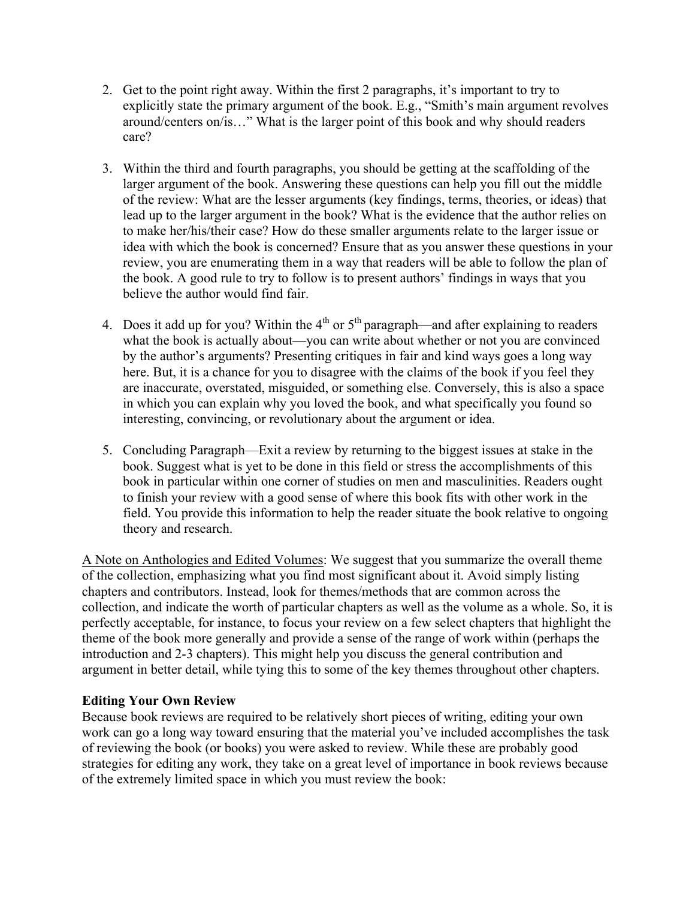- 2. Get to the point right away. Within the first 2 paragraphs, it's important to try to explicitly state the primary argument of the book. E.g., "Smith's main argument revolves around/centers on/is…" What is the larger point of this book and why should readers care?
- 3. Within the third and fourth paragraphs, you should be getting at the scaffolding of the larger argument of the book. Answering these questions can help you fill out the middle of the review: What are the lesser arguments (key findings, terms, theories, or ideas) that lead up to the larger argument in the book? What is the evidence that the author relies on to make her/his/their case? How do these smaller arguments relate to the larger issue or idea with which the book is concerned? Ensure that as you answer these questions in your review, you are enumerating them in a way that readers will be able to follow the plan of the book. A good rule to try to follow is to present authors' findings in ways that you believe the author would find fair.
- 4. Does it add up for you? Within the  $4<sup>th</sup>$  or  $5<sup>th</sup>$  paragraph—and after explaining to readers what the book is actually about—you can write about whether or not you are convinced by the author's arguments? Presenting critiques in fair and kind ways goes a long way here. But, it is a chance for you to disagree with the claims of the book if you feel they are inaccurate, overstated, misguided, or something else. Conversely, this is also a space in which you can explain why you loved the book, and what specifically you found so interesting, convincing, or revolutionary about the argument or idea.
- 5. Concluding Paragraph—Exit a review by returning to the biggest issues at stake in the book. Suggest what is yet to be done in this field or stress the accomplishments of this book in particular within one corner of studies on men and masculinities. Readers ought to finish your review with a good sense of where this book fits with other work in the field. You provide this information to help the reader situate the book relative to ongoing theory and research.

A Note on Anthologies and Edited Volumes: We suggest that you summarize the overall theme of the collection, emphasizing what you find most significant about it. Avoid simply listing chapters and contributors. Instead, look for themes/methods that are common across the collection, and indicate the worth of particular chapters as well as the volume as a whole. So, it is perfectly acceptable, for instance, to focus your review on a few select chapters that highlight the theme of the book more generally and provide a sense of the range of work within (perhaps the introduction and 2-3 chapters). This might help you discuss the general contribution and argument in better detail, while tying this to some of the key themes throughout other chapters.

#### **Editing Your Own Review**

Because book reviews are required to be relatively short pieces of writing, editing your own work can go a long way toward ensuring that the material you've included accomplishes the task of reviewing the book (or books) you were asked to review. While these are probably good strategies for editing any work, they take on a great level of importance in book reviews because of the extremely limited space in which you must review the book: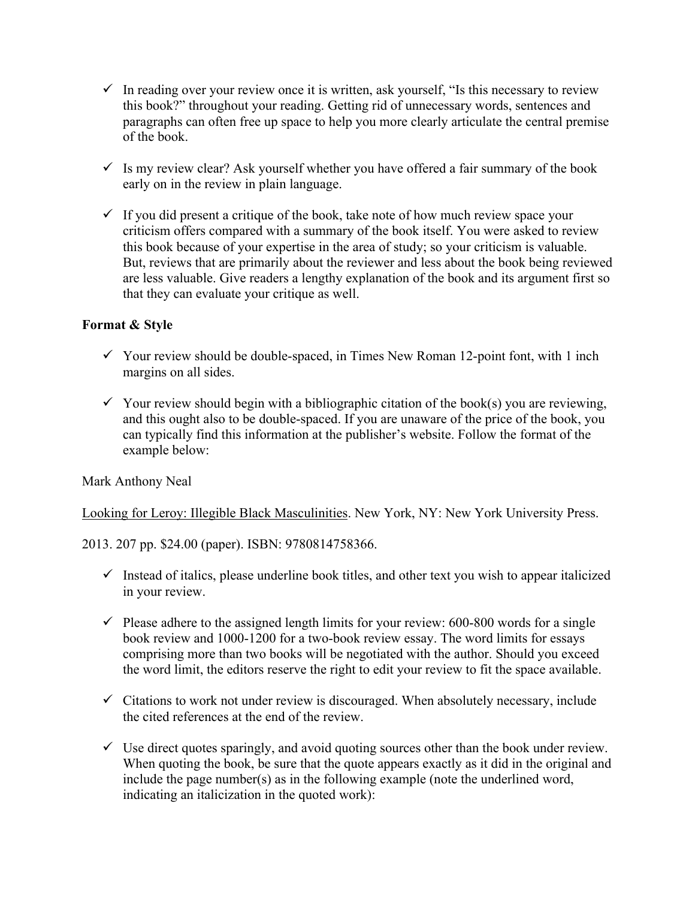- $\checkmark$  In reading over your review once it is written, ask yourself, "Is this necessary to review this book?" throughout your reading. Getting rid of unnecessary words, sentences and paragraphs can often free up space to help you more clearly articulate the central premise of the book.
- $\checkmark$  Is my review clear? Ask yourself whether you have offered a fair summary of the book early on in the review in plain language.
- $\checkmark$  If you did present a critique of the book, take note of how much review space your criticism offers compared with a summary of the book itself. You were asked to review this book because of your expertise in the area of study; so your criticism is valuable. But, reviews that are primarily about the reviewer and less about the book being reviewed are less valuable. Give readers a lengthy explanation of the book and its argument first so that they can evaluate your critique as well.

## **Format & Style**

- $\checkmark$  Your review should be double-spaced, in Times New Roman 12-point font, with 1 inch margins on all sides.
- $\checkmark$  Your review should begin with a bibliographic citation of the book(s) you are reviewing, and this ought also to be double-spaced. If you are unaware of the price of the book, you can typically find this information at the publisher's website. Follow the format of the example below:

#### Mark Anthony Neal

Looking for Leroy: Illegible Black Masculinities. New York, NY: New York University Press.

2013. 207 pp. \$24.00 (paper). ISBN: 9780814758366.

- $\checkmark$  Instead of italics, please underline book titles, and other text you wish to appear italicized in your review.
- $\checkmark$  Please adhere to the assigned length limits for your review: 600-800 words for a single book review and 1000-1200 for a two-book review essay. The word limits for essays comprising more than two books will be negotiated with the author. Should you exceed the word limit, the editors reserve the right to edit your review to fit the space available.
- $\checkmark$  Citations to work not under review is discouraged. When absolutely necessary, include the cited references at the end of the review.
- $\checkmark$  Use direct quotes sparingly, and avoid quoting sources other than the book under review. When quoting the book, be sure that the quote appears exactly as it did in the original and include the page number(s) as in the following example (note the underlined word, indicating an italicization in the quoted work):